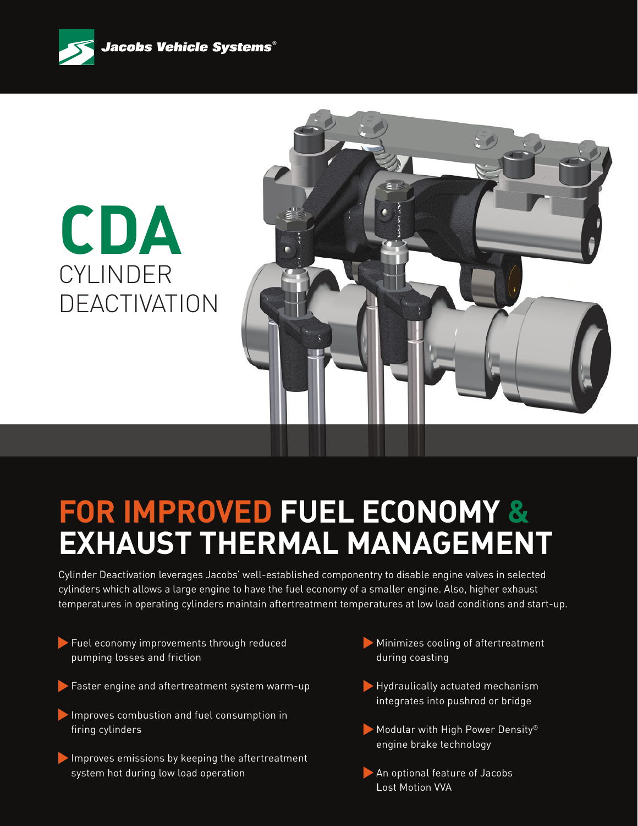

# **CDA** CYLINDER **DEACTIVATION**



## **FOR IMPROVED FUEL ECONOMY & EXHAUST THERMAL MANAGEMENT**

Cylinder Deactivation leverages Jacobs' well-established componentry to disable engine valves in selected cylinders which allows a large engine to have the fuel economy of a smaller engine. Also, higher exhaust temperatures in operating cylinders maintain aftertreatment temperatures at low load conditions and start-up.

- Fuel economy improvements through reduced pumping losses and friction
- Faster engine and aftertreatment system warm-up
- Improves combustion and fuel consumption in firing cylinders
- Improves emissions by keeping the aftertreatment system hot during low load operation
- Minimizes cooling of aftertreatment during coasting
- Hydraulically actuated mechanism integrates into pushrod or bridge
- Modular with High Power Density<sup>®</sup> engine brake technology
- An optional feature of Jacobs Lost Motion VVA